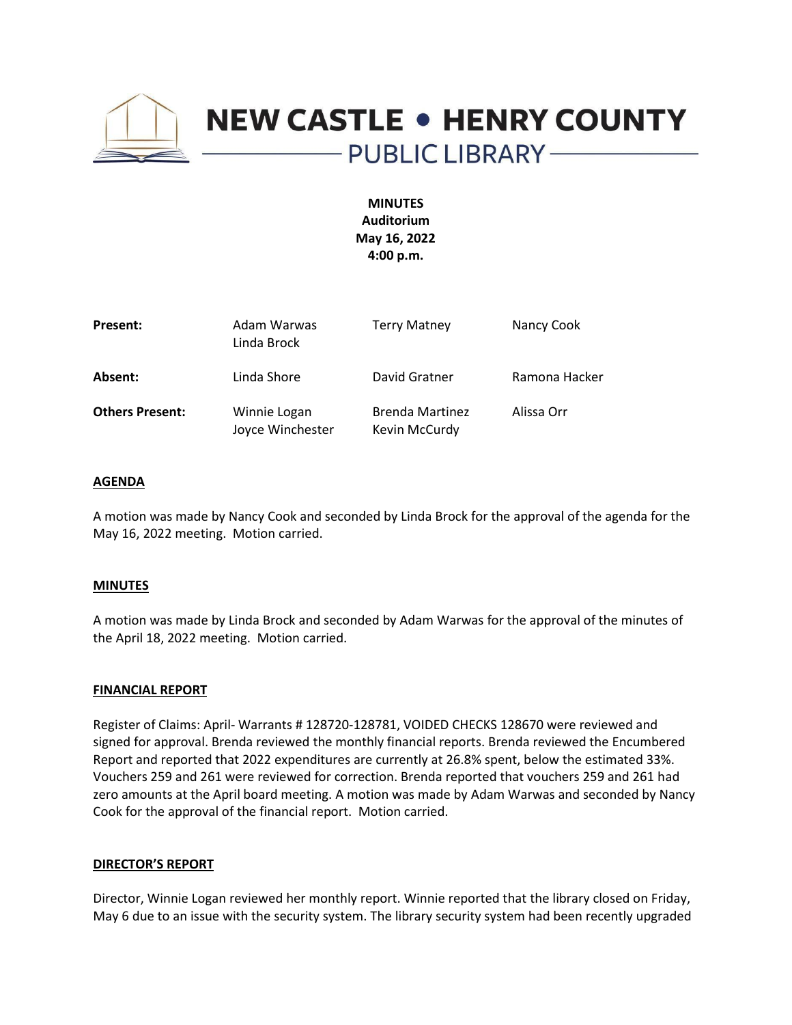

# **NEW CASTLE . HENRY COUNTY** - PUBLIC LIBRARY --

**MINUTES Auditorium May 16, 2022 4:00 p.m.**

| Present:               | Adam Warwas<br>Linda Brock       | <b>Terry Matney</b>                     | Nancy Cook    |
|------------------------|----------------------------------|-----------------------------------------|---------------|
| Absent:                | Linda Shore                      | David Gratner                           | Ramona Hacker |
| <b>Others Present:</b> | Winnie Logan<br>Joyce Winchester | <b>Brenda Martinez</b><br>Kevin McCurdy | Alissa Orr    |

#### **AGENDA**

A motion was made by Nancy Cook and seconded by Linda Brock for the approval of the agenda for the May 16, 2022 meeting. Motion carried.

#### **MINUTES**

A motion was made by Linda Brock and seconded by Adam Warwas for the approval of the minutes of the April 18, 2022 meeting. Motion carried.

#### **FINANCIAL REPORT**

Register of Claims: April- Warrants # 128720-128781, VOIDED CHECKS 128670 were reviewed and signed for approval. Brenda reviewed the monthly financial reports. Brenda reviewed the Encumbered Report and reported that 2022 expenditures are currently at 26.8% spent, below the estimated 33%. Vouchers 259 and 261 were reviewed for correction. Brenda reported that vouchers 259 and 261 had zero amounts at the April board meeting. A motion was made by Adam Warwas and seconded by Nancy Cook for the approval of the financial report. Motion carried.

#### **DIRECTOR'S REPORT**

Director, Winnie Logan reviewed her monthly report. Winnie reported that the library closed on Friday, May 6 due to an issue with the security system. The library security system had been recently upgraded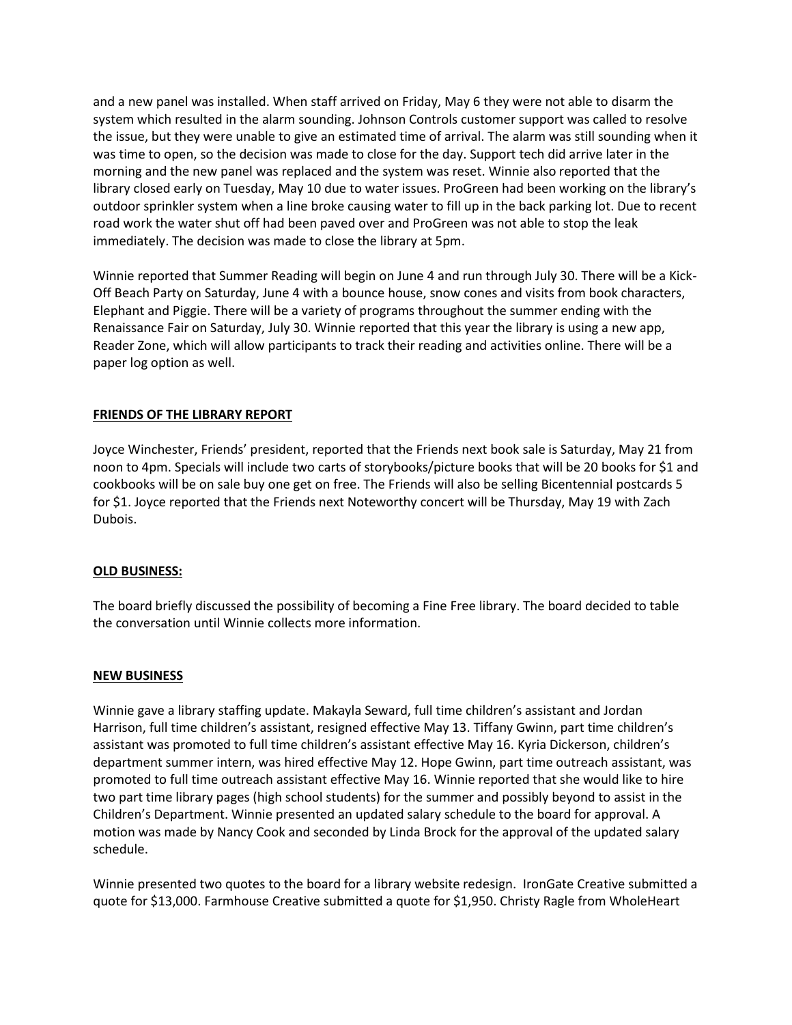and a new panel was installed. When staff arrived on Friday, May 6 they were not able to disarm the system which resulted in the alarm sounding. Johnson Controls customer support was called to resolve the issue, but they were unable to give an estimated time of arrival. The alarm was still sounding when it was time to open, so the decision was made to close for the day. Support tech did arrive later in the morning and the new panel was replaced and the system was reset. Winnie also reported that the library closed early on Tuesday, May 10 due to water issues. ProGreen had been working on the library's outdoor sprinkler system when a line broke causing water to fill up in the back parking lot. Due to recent road work the water shut off had been paved over and ProGreen was not able to stop the leak immediately. The decision was made to close the library at 5pm.

Winnie reported that Summer Reading will begin on June 4 and run through July 30. There will be a Kick-Off Beach Party on Saturday, June 4 with a bounce house, snow cones and visits from book characters, Elephant and Piggie. There will be a variety of programs throughout the summer ending with the Renaissance Fair on Saturday, July 30. Winnie reported that this year the library is using a new app, Reader Zone, which will allow participants to track their reading and activities online. There will be a paper log option as well.

# **FRIENDS OF THE LIBRARY REPORT**

Joyce Winchester, Friends' president, reported that the Friends next book sale is Saturday, May 21 from noon to 4pm. Specials will include two carts of storybooks/picture books that will be 20 books for \$1 and cookbooks will be on sale buy one get on free. The Friends will also be selling Bicentennial postcards 5 for \$1. Joyce reported that the Friends next Noteworthy concert will be Thursday, May 19 with Zach Dubois.

# **OLD BUSINESS:**

The board briefly discussed the possibility of becoming a Fine Free library. The board decided to table the conversation until Winnie collects more information.

# **NEW BUSINESS**

Winnie gave a library staffing update. Makayla Seward, full time children's assistant and Jordan Harrison, full time children's assistant, resigned effective May 13. Tiffany Gwinn, part time children's assistant was promoted to full time children's assistant effective May 16. Kyria Dickerson, children's department summer intern, was hired effective May 12. Hope Gwinn, part time outreach assistant, was promoted to full time outreach assistant effective May 16. Winnie reported that she would like to hire two part time library pages (high school students) for the summer and possibly beyond to assist in the Children's Department. Winnie presented an updated salary schedule to the board for approval. A motion was made by Nancy Cook and seconded by Linda Brock for the approval of the updated salary schedule.

Winnie presented two quotes to the board for a library website redesign. IronGate Creative submitted a quote for \$13,000. Farmhouse Creative submitted a quote for \$1,950. Christy Ragle from WholeHeart